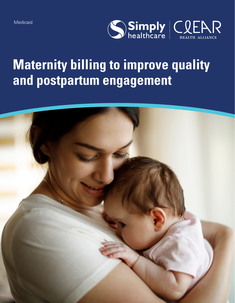

# **Maternity billing to improve quality and postpartum engagement**

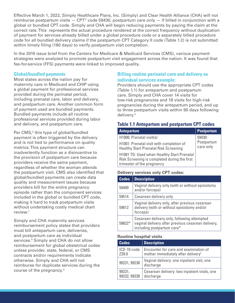Effective March 1, 2022, Simply Healthcare Plans, Inc. (Simply) and Clear Health Alliance (CHA) will not reimburse postpartum visits  $-$  CPT® code 59430, postpartum care only  $-$  if billed in conjunction with a global or bundled CPT code. Simply and CHA will begin reducing payments by paying the claim at the correct rate. This represents the actual procedure rendered at the correct frequency without duplication of payment for services already billed under a global procedure code or a separately billed procedure code for all bundled delivery claims if the postpartum CPT Category II code (Table 1.2) is not submitted within timely filing (180 days) to verify postpartum visit completion.

In the 2019 issue brief from the Centers for Medicare & Medicaid Services (CMS), various payment strategies were analyzed to promote postpartum visit engagement across the nation. It was found that fee-for-service (FFS) payments were linked to improved quality.

#### **Global/bundled payments**

Most states across the nation pay for maternity care in Medicaid and CHIP using a global payment for professional services provided during the perinatal period, including prenatal care, labor and delivery, and postpartum care. Another common form of payment used are bundled payments. Bundled payments include all routine professional services provided during labor and delivery, and postpartum care.

Per CMS,<sup>2</sup> this type of global/bundled payment is often triggered by the delivery and is not tied to performance on quality metrics. This payment structure can inadvertently function as a disincentive to the provision of postpartum care because providers receive the same payment, regardless of whether the woman attends the postpartum visit. CMS also identified that global/bundled payments can create data quality and measurement issues because providers bill for the entire pregnancy episode rather than the component services included in the global or bundled CPT code, making it hard to track postpartum visits without undertaking costly medical chart review.1

Simply and CHA maternity services reimbursement policy states that providers must bill antepartum care, deliveries, and postpartum care as individual services.4 Simply and CHA do not allow reimbursement for global obstetrical codes unless provider, state, federal, or CMS contracts and/or requirements indicate otherwise. Simply and CHA will not reimburse for duplicate services during the course of the pregnancy.4

## **Billing routine perinatal care and delivery as individual services example:**

Providers should use the appropriate CPT codes (Table 1.1) for antepartum and postpartum care. Simply and CHA cover 14 visits for low-risk pregnancies and 18 visits for high-risk pregnancies during the antepartum period, and up to three postpartum visits within 90 days following delivery.5

### **Table 1.1 Antepartum and postpartum CPT codes**

| <b>Antepartum</b>                                                                                                        | <b>Postpartum</b>                 |
|--------------------------------------------------------------------------------------------------------------------------|-----------------------------------|
| H1000: Prenatal visit(s)                                                                                                 | 59430:<br>Postpartum<br>care only |
| H1001: Prenatal visit with completion of<br><b>Healthy Start Prenatal Risk Screening</b>                                 |                                   |
| H1001 TG: Used when Healthy Start Prenatal<br>Risk Screening is completed during the first<br>trimester of the pregnancy |                                   |

#### **Delivery services only CPT codes:**

| <b>Codes</b> | <b>Description</b>                                                                                                              |
|--------------|---------------------------------------------------------------------------------------------------------------------------------|
| 59409        | Vaginal delivery only (with or without episiotomy<br>and/or forceps)                                                            |
| 59514        | Cesarean delivery only                                                                                                          |
| 59612        | Vaginal delivery only, after previous cesarean<br>delivery (with or without episiotomy and/or<br>forceps)                       |
| 59622*       | Cesarean delivery only, following attempted<br>vaginal delivery after previous cesarean delivery,<br>including postpartum care* |

#### **Routine hospital visits**

| <b>Codes</b> | <b>Description</b>                                      |
|--------------|---------------------------------------------------------|
| ICD-10 code  | Encounter for care and examination of                   |
| Z39.0        | mother immediately after delivery <sup>1</sup>          |
| 99231, 99238 | Vaginal delivery: one inpatient visit, one<br>discharge |
| 99231,       | Cesarean delivery: two inpatient visits, one            |
| 99232, 99238 | discharge                                               |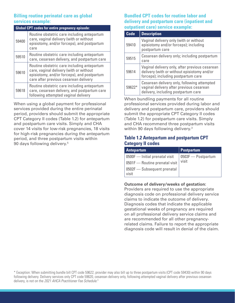## **Billing routine perinatal care as global services example:**

| <b>Global CPT codes for entire pregnancy episode:</b> |                                                                                                                                                                                |  |
|-------------------------------------------------------|--------------------------------------------------------------------------------------------------------------------------------------------------------------------------------|--|
| 59400                                                 | Routine obstetric care including antepartum<br>care, vaginal delivery (with or without<br>episiotomy, and/or forceps), and postpartum<br>care                                  |  |
| 59510                                                 | Routine obstetric care including antepartum<br>care, cesarean delivery, and postpartum care                                                                                    |  |
| 59610                                                 | Routine obstetric care including antepartum<br>care, vaginal delivery (with or without<br>episiotomy, and/or forceps), and postpartum<br>care after previous cesarean delivery |  |
| 59618                                                 | Routine obstetric care including antepartum<br>care, cesarean delivery, and postpartum care<br>following attempted vaginal delivery                                            |  |

When using a global payment for professional services provided during the entire perinatal period, providers should submit the appropriate CPT Category II codes (Table 1.2) for antepartum and postpartum care visits. Simply and CHA cover 14 visits for low-risk pregnancies, 18 visits for high-risk pregnancies during the antepartum period, and three postpartum visits within 90 days following delivery.5

## **Bundled CPT codes for routine labor and delivery and postpartum care (inpatient and outpatient care) service example:**

| <b>Code</b> | <b>Description</b>                                                                                                                   |  |
|-------------|--------------------------------------------------------------------------------------------------------------------------------------|--|
| 59410       | Vaginal delivery only (with or without<br>episiotomy and/or forceps); including<br>postpartum care                                   |  |
| 59515       | Cesarean delivery only; including postpartum<br>care                                                                                 |  |
| 59614       | Vaginal delivery only, after previous cesarean<br>delivery (with or without episiotomy and/or<br>forceps); including postpartum care |  |
| 59622*      | Cesarean delivery only, following attempted<br>vaginal delivery after previous cesarean<br>delivery, including postpartum care       |  |

When bundling payments for all routine professional services provided during labor and delivery and postpartum care, providers should submit the appropriate CPT Category II codes (Table 1.2) for postpartum care visits. Simply and CHA recommend three postpartum visits within 90 days following delivery.<sup>3</sup>

## **Table 1.2 Antepartum and postpartum CPT Category II codes**

| Antepartum                           | Postpartum                            |
|--------------------------------------|---------------------------------------|
| 0500F - Initial prenatal visit       | $\vert$ 0503F $\mathrm{-}$ Postpartum |
| 0501F - Routine prenatal visit       | visit                                 |
| 0502F - Subsequent prenatal<br>visit |                                       |

#### **Outcome of delivery/weeks of gestation:**

Providers are required to use the appropriate diagnosis code on professional delivery service claims to indicate the outcome of delivery. Diagnosis codes that indicate the applicable gestational weeks of pregnancy are required on all professional delivery service claims and are recommended for all other pregnancyrelated claims. Failure to report the appropriate diagnosis code will result in denial of the claim.

\* Exception: When submitting bundle bill CPT code 59622, provider may also bill up to three postpartum visits (CPT code 59430) within 90 days following delivery. Delivery services only CPT code 59620, cesarean delivery only, following attempted vaginal delivery after previous cesarean delivery, is not on the *2021 AHCA Practitioner Fee Schedule*. 3